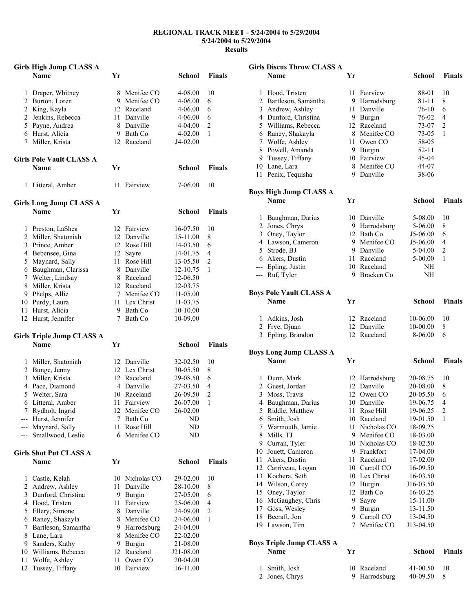## **REGIONAL TRACK MEET - 5/24/2004 to 5/29/2004 5/24/2004 to 5/29/2004 Results**

|                | <b>Girls High Jump CLASS A</b>      |    |                              |                     |                     |
|----------------|-------------------------------------|----|------------------------------|---------------------|---------------------|
|                | <b>Name</b>                         | Yr |                              | School              | <b>Finals</b>       |
|                |                                     |    |                              |                     |                     |
| 1              | Draper, Whitney                     |    | 8 Menifee CO<br>9 Menifee CO | 4-08.00             | 10                  |
|                | 2 Burton, Loren                     |    | 12 Raceland                  | 4-06.00             | 6                   |
| $\overline{2}$ | 2 King, Kayla                       |    | 11 Danville                  | 4-06.00             | 6                   |
|                | Jenkins, Rebecca                    |    | 8 Danville                   | 4-06.00             | 6<br>$\overline{2}$ |
|                | 5 Payne, Andrea                     |    |                              | 4-04.00             |                     |
|                | 6 Hurst, Alicia<br>7 Miller, Krista |    | 9 Bath Co<br>12 Raceland     | 4-02.00<br>J4-02.00 | 1                   |
|                |                                     |    |                              |                     |                     |
|                | <b>Girls Pole Vault CLASS A</b>     |    |                              |                     |                     |
|                | <b>Name</b>                         | Yr |                              | School              | <b>Finals</b>       |
| 1              | Litteral, Amber                     | 11 | Fairview                     | 7-06.00             | 10                  |
|                | <b>Girls Long Jump CLASS A</b>      |    |                              |                     |                     |
|                | <b>Name</b>                         | Yr |                              | <b>School</b>       | <b>Finals</b>       |
|                | 1 Preston, LaShea                   |    | 12 Fairview                  | 16-07.50            | 10                  |
|                | 2 Miller, Shatoniah                 |    | 12 Danville                  | 15-11.00            | 8                   |
|                | 3 Prince, Amber                     |    | 12 Rose Hill                 | 14-03.50            | 6                   |
|                | 4 Bebensee, Gina                    | 12 | Sayre                        | 14-01.75            | 4                   |
| 5              | Maynard, Sally                      |    | 11 Rose Hill                 | 13-05.50            | 2                   |
|                | 6 Baughman, Clarissa                |    | 8 Danville                   | 12-10.75            | 1                   |
|                | 7 Welter, Lindsay                   |    | 8 Raceland                   | 12-06.50            |                     |
| 8              | Miller, Krista                      |    | 12 Raceland                  | 12-03.75            |                     |
| 9.             | Phelps, Allie                       |    | 7 Menifee CO                 | 11-05.00            |                     |
|                | 10 Purdy, Laura                     |    | 11 Lex Christ                | 11-03.75            |                     |
| 11             | Hurst, Alicia                       |    | 9 Bath Co                    | 10-10.00            |                     |
|                | 12 Hurst, Jennifer                  |    | 7 Bath Co                    | 10-09.00            |                     |
|                | <b>Girls Triple Jump CLASS A</b>    |    |                              |                     |                     |
|                | <b>Name</b>                         | Yr |                              | School              | <b>Finals</b>       |
| 1              | Miller, Shatoniah                   |    | 12 Danville                  | 32-02.50            | 10                  |
|                | 2 Bunge, Jenny                      |    | 12 Lex Christ                | 30-05.50            | 8                   |
| 3              | Miller, Krista                      |    | 12 Raceland                  | 29-08.50            | 6                   |
|                | 4 Pace, Diamond                     |    | 4 Danville                   | 27-03.50            | 4                   |
| 5              | Welter, Sara                        |    | 10 Raceland                  | 26-09.50            | $\overline{2}$      |
| 6              | Litteral, Amber                     |    | 11 Fairview                  | 26-07.00            | 1                   |
| 7              | Rydholt, Ingrid                     | 12 | Menifee CO                   | 26-02.00            |                     |
| ---            | Hurst, Jennifer                     | 7  | Bath Co                      | ND                  |                     |
| ---            | Maynard, Sally                      | 11 | Rose Hill                    | ND                  |                     |
| ---            | Smallwood, Leslie                   | 6  | Menifee CO                   | ND                  |                     |
|                | <b>Girls Shot Put CLASS A</b>       |    |                              |                     |                     |
|                | <b>Name</b>                         | Yr |                              | <b>School</b>       | <b>Finals</b>       |
| 1              | Castle, Kelah                       | 10 | Nicholas CO                  | 29-02.00            | 10                  |
| $\overline{c}$ | Andrew, Ashley                      | 11 | Danville                     | 28-10.00            | 8                   |
| 3              | Dunford, Christina                  | 9. | Burgin                       | 27-05.00            | 6                   |
| 4              | Hood, Tristen                       | 11 | Fairview                     | 25-06.00            | 4                   |
| 5              | Ellery, Simone                      | 8  | Danville                     | 24-09.00            | $\overline{c}$      |
| 6              | Raney, Shakayla                     |    | 8 Menifee CO                 | 24-06.00            | 1                   |
| 7              | Bartleson, Samantha                 |    | 9 Harrodsburg                | 24-04.00            |                     |
| 8              | Lane, Lara                          | 8  | Menifee CO                   | 22-02.00            |                     |
| 9              | Sanders, Kathy                      | 9  | Burgin                       | 21-08.00            |                     |
| 10             | Williams, Rebecca                   |    | 12 Raceland                  | J21-08.00           |                     |
| 11             | Wolfe, Ashley                       | 11 | Owen CO                      | 20-04.00            |                     |
| 12             | Tussey, Tiffany                     | 10 | Fairview                     | 16-11.00            |                     |
|                |                                     |    |                              |                     |                     |

| <b>Girls Discus Throw CLASS A</b> |                                    |    |                            |                      |                     |
|-----------------------------------|------------------------------------|----|----------------------------|----------------------|---------------------|
|                                   | <b>Name</b>                        | Yr |                            | <b>School</b>        | <b>Finals</b>       |
|                                   |                                    |    |                            |                      |                     |
|                                   | 1 Hood, Tristen                    |    | 11 Fairview                | 88-01                | 10                  |
|                                   | 2 Bartleson, Samantha              |    | 9 Harrodsburg              | 81-11                | 8                   |
|                                   | 3 Andrew, Ashley                   |    | 11 Danville                | 76-10                | 6                   |
|                                   | 4 Dunford, Christina               |    | 9 Burgin<br>12 Raceland    | 76-02                | 4<br>$\overline{2}$ |
|                                   | 5 Williams, Rebecca                |    | 8 Menifee CO               | 73-07                | 1                   |
| 7                                 | 6 Raney, Shakayla<br>Wolfe, Ashley |    | 11 Owen CO                 | 73-05<br>58-05       |                     |
|                                   | 8 Powell, Amanda                   |    | 9 Burgin                   | 52-11                |                     |
|                                   | 9 Tussey, Tiffany                  |    | 10 Fairview                | 45-04                |                     |
|                                   | 10 Lane, Lara                      |    | 8 Menifee CO               | 44-07                |                     |
|                                   | 11 Penix, Tequisha                 |    | 9 Danville                 | 38-06                |                     |
|                                   |                                    |    |                            |                      |                     |
|                                   | <b>Boys High Jump CLASS A</b>      |    |                            |                      |                     |
|                                   | <b>Name</b>                        | Yr |                            | <b>School</b>        | <b>Finals</b>       |
|                                   | 1 Baughman, Darius                 |    | 10 Danville                | 5-08.00              | 10                  |
|                                   | 2 Jones, Chrys                     |    | 9 Harrodsburg              | 5-06.00              | 8                   |
|                                   | 3 Oney, Taylor                     |    | 12 Bath Co                 | J5-06.00             | 6                   |
|                                   | 4 Lawson, Cameron                  |    | 9 Menifee CO               | J5-06.00             | 4                   |
|                                   | 5 Strode, BJ                       |    | 9 Danville                 | 5-04.00              | 2                   |
|                                   | 6 Akers, Dustin                    |    | 11 Raceland                | 5-00.00              | 1                   |
|                                   | --- Epling, Justin                 |    | 10 Raceland                | NΗ                   |                     |
| ---                               | Ruf, Tyler                         | 9  | Bracken Co                 | NΗ                   |                     |
|                                   |                                    |    |                            |                      |                     |
|                                   | <b>Boys Pole Vault CLASS A</b>     |    |                            |                      |                     |
|                                   | Name                               | Yr |                            | School               | <b>Finals</b>       |
|                                   |                                    |    |                            |                      | 10                  |
|                                   | 1 Adkins, Josh                     |    | 12 Raceland<br>12 Danville | 10-06.00             | 8                   |
|                                   | 2 Frye, Djuan<br>3 Epling, Brandon |    | 12 Raceland                | 10-00.00<br>8-06.00  | 6                   |
|                                   |                                    |    |                            |                      |                     |
|                                   | <b>Boys Long Jump CLASS A</b>      |    |                            |                      |                     |
|                                   | <b>Name</b>                        | Yr |                            | School               | <b>Finals</b>       |
|                                   |                                    |    |                            |                      |                     |
| 1                                 | Dunn, Mark                         |    | 12 Harrodsburg             | 20-08.75             | 10                  |
|                                   | 2 Guest, Jordan                    |    | 12 Danville                | 20-08.00             | 8                   |
|                                   | 3 Moss, Travis                     |    | 12 Owen CO                 | 20-05.50             | 6                   |
| 4                                 | Baughman, Darius                   | 10 | Danville                   | 19-06.75             | 4                   |
| 5                                 | Riddle, Matthew                    | 11 | Rose Hill                  | 19-06.25             | 2                   |
|                                   | 6 Smith, Josh                      | 10 | Raceland                   | 19-01.50             | 1                   |
|                                   | 7 Warmouth, Jamie                  | 11 | Nicholas CO                | 18-09.25             |                     |
| 8                                 | Mills, TJ                          |    | 9 Menifee CO               | 18-03.00             |                     |
|                                   | 9 Curran, Tyler                    |    | 10 Nicholas CO             | 18-02.50             |                     |
| 10                                | Jouett, Cameron                    |    | 9 Frankfort                | 17-04.00             |                     |
| 11                                | Akers, Dustin                      | 11 | Raceland                   | 17-02.00             |                     |
|                                   | 12 Carriveau, Logan                |    | 10 Carroll CO              | 16-09.50             |                     |
|                                   | 13 Kochera, Seth                   |    | 10 Lex Christ              | 16-03.50             |                     |
|                                   | 14 Wilson, Corey                   |    | 12 Burgin<br>Bath Co       | J16-03.50            |                     |
|                                   | 15 Oney, Taylor                    | 12 |                            | 16-03.25             |                     |
|                                   | 16 McGaughey, Chris                | 9. | Sayre<br>9 Burgin          | 15-11.00<br>13-11.50 |                     |
| 18                                | 17 Goss, Wesley                    |    | 9 Carroll CO               | 13-04.50             |                     |
| 19                                | Becraft, Jon<br>Lawson, Tim        | 7  | Menifee CO                 | J13-04.50            |                     |
|                                   |                                    |    |                            |                      |                     |
|                                   | <b>Boys Triple Jump CLASS A</b>    |    |                            |                      |                     |
|                                   | Name                               | Yr |                            | School               | <b>Finals</b>       |
|                                   |                                    |    |                            |                      |                     |

| 1 Smith, Josh  | 10 Raceland   | 41-00.50 | -10 |
|----------------|---------------|----------|-----|
| 2 Jones, Chrys | 9 Harrodsburg | 40-09.50 |     |